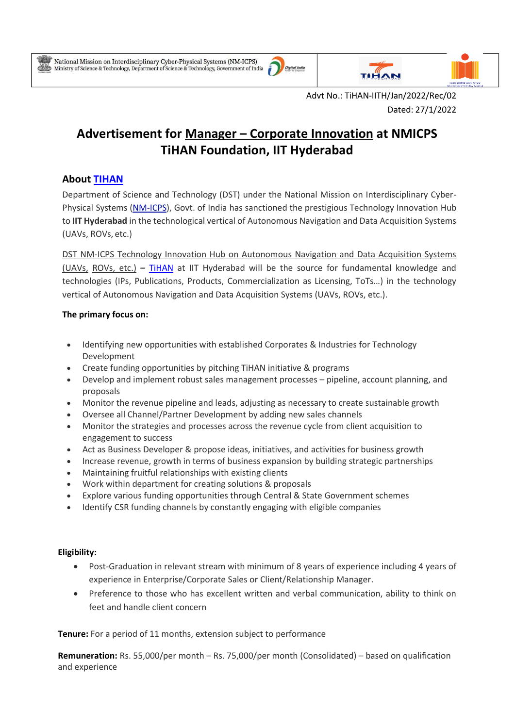۰





Advt No.: TiHAN-IITH/Jan/2022/Rec/02 Dated: 27/1/2022

# **Advertisement for Manager – Corporate Innovation at NMICPS TiHAN Foundation, IIT Hyderabad**

## **About [TIHAN](https://tihan.iith.ac.in/)**

Department of Science and Technology (DST) under the National Mission on Interdisciplinary Cyber-Physical Systems [\(NM-ICPS\)](https://serbonline.in/ICPS/HomePage), Govt. of India has sanctioned the prestigious Technology Innovation Hub to **IIT Hyderabad** in the technological vertical of Autonomous Navigation and Data Acquisition Systems (UAVs, ROVs, etc.)

DST NM-ICPS Technology Innovation Hub on Autonomous Navigation and Data Acquisition Systems (UAVs, ROVs, etc.) **–** [TiHAN](https://tihan.iith.ac.in/) at IIT Hyderabad will be the source for fundamental knowledge and technologies (IPs, Publications, Products, Commercialization as Licensing, ToTs…) in the technology vertical of Autonomous Navigation and Data Acquisition Systems (UAVs, ROVs, etc.).

### **The primary focus on:**

- Identifying new opportunities with established Corporates & Industries for Technology Development
- Create funding opportunities by pitching TiHAN initiative & programs
- Develop and implement robust sales management processes pipeline, account planning, and proposals
- Monitor the revenue pipeline and leads, adjusting as necessary to create sustainable growth
- Oversee all Channel/Partner Development by adding new sales channels
- Monitor the strategies and processes across the revenue cycle from client acquisition to engagement to success
- Act as Business Developer & propose ideas, initiatives, and activities for business growth
- Increase revenue, growth in terms of business expansion by building strategic partnerships
- Maintaining fruitful relationships with existing clients
- Work within department for creating solutions & proposals
- Explore various funding opportunities through Central & State Government schemes
- Identify CSR funding channels by constantly engaging with eligible companies

#### **Eligibility:**

- Post-Graduation in relevant stream with minimum of 8 years of experience including 4 years of experience in Enterprise/Corporate Sales or Client/Relationship Manager.
- Preference to those who has excellent written and verbal communication, ability to think on feet and handle client concern

**Tenure:** For a period of 11 months, extension subject to performance

**Remuneration:** Rs. 55,000/per month – Rs. 75,000/per month (Consolidated) – based on qualification and experience